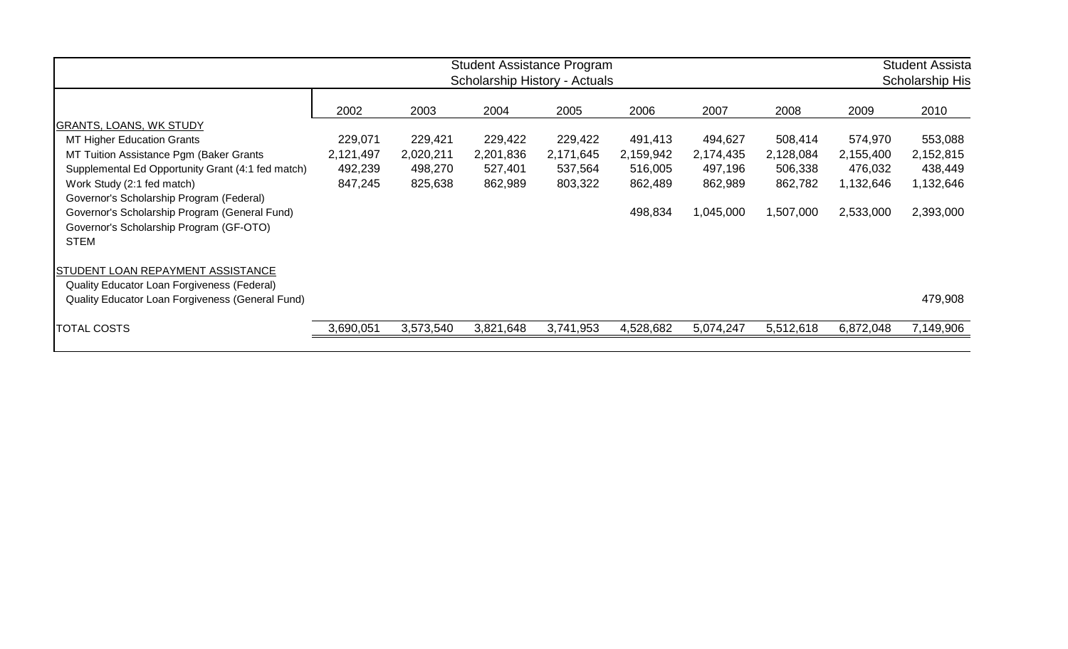|                                                                                                                                                     | <b>Student Assistance Program</b><br>Scholarship History - Actuals |           |           |           |           |           |           | <b>Student Assista</b><br>Scholarship His |           |
|-----------------------------------------------------------------------------------------------------------------------------------------------------|--------------------------------------------------------------------|-----------|-----------|-----------|-----------|-----------|-----------|-------------------------------------------|-----------|
|                                                                                                                                                     | 2002                                                               | 2003      | 2004      | 2005      | 2006      | 2007      | 2008      | 2009                                      | 2010      |
| <b>GRANTS, LOANS, WK STUDY</b>                                                                                                                      |                                                                    |           |           |           |           |           |           |                                           |           |
| <b>MT Higher Education Grants</b>                                                                                                                   | 229,071                                                            | 229,421   | 229,422   | 229,422   | 491,413   | 494,627   | 508,414   | 574,970                                   | 553,088   |
| MT Tuition Assistance Pgm (Baker Grants                                                                                                             | 2,121,497                                                          | 2,020,211 | 2,201,836 | 2,171,645 | 2,159,942 | 2,174,435 | 2,128,084 | 2,155,400                                 | 2,152,815 |
| Supplemental Ed Opportunity Grant (4:1 fed match)                                                                                                   | 492,239                                                            | 498,270   | 527,401   | 537,564   | 516,005   | 497,196   | 506,338   | 476,032                                   | 438,449   |
| Work Study (2:1 fed match)                                                                                                                          | 847,245                                                            | 825,638   | 862,989   | 803,322   | 862,489   | 862,989   | 862,782   | 1,132,646                                 | 1,132,646 |
| Governor's Scholarship Program (Federal)<br>Governor's Scholarship Program (General Fund)<br>Governor's Scholarship Program (GF-OTO)<br><b>STEM</b> |                                                                    |           |           |           | 498,834   | 1,045,000 | 1,507,000 | 2,533,000                                 | 2,393,000 |
| STUDENT LOAN REPAYMENT ASSISTANCE<br>Quality Educator Loan Forgiveness (Federal)                                                                    |                                                                    |           |           |           |           |           |           |                                           |           |
| Quality Educator Loan Forgiveness (General Fund)                                                                                                    |                                                                    |           |           |           |           |           |           |                                           | 479,908   |
| TOTAL COSTS                                                                                                                                         | 3,690,051                                                          | 3,573,540 | 3,821,648 | 3,741,953 | 4,528,682 | 5,074,247 | 5,512,618 | 6,872,048                                 | 7,149,906 |
|                                                                                                                                                     |                                                                    |           |           |           |           |           |           |                                           |           |